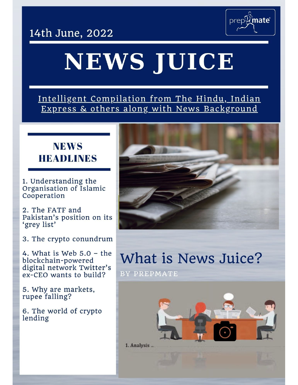14th June, 2022



# NEWS JUICE

Intelligent Compilation from The Hindu, Indian Express & others along with News Background

### **NEWS HEADLINES**

1. Understanding the Organisation of Islamic Cooperation

2. The FATF and Pakistan's position on its 'grey list'

3. The crypto conundrum

4. What is Web  $5.0 -$  the blockchain-powered digital network Twitter's ex-CEO wants to build?

5. Why are markets,<br>rupee falling?

6. The world of crypto lending



### What is News Juice?

BY PREPMATE

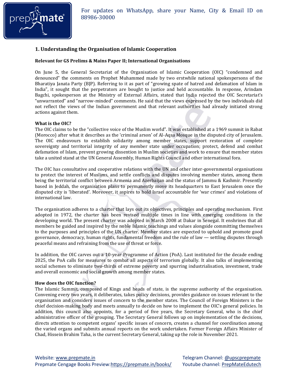

### **1. Understanding the Organisation of Islamic Cooperation**

#### **Relevant for GS Prelims & Mains Paper II; International Organisations**

On June 5, the General Secretariat of the Organisation of Islamic Cooperation (OIC) "condemned and denounced" the comments on Prophet Muhammed made by two erstwhile national spokespersons of the Bharatiya Janata Party (BJP). Referring to it as part of "growing spate of hatred and defamation of Islam in India", it sought that the perpetrators are bought to justice and held accountable. In response, Arindam Bagchi, spokesperson at the Ministry of External Affairs, stated that India rejected the OIC Secretariat's "unwarranted" and "narrow-minded" comments. He said that the views expressed by the two individuals did not reflect the views of the Indian government and that relevant authorities had already initiated strong actions against them.

#### **What is the OIC?**

The OIC claims to be the "collective voice of the Muslim world". It was established at a 1969 summit in Rabat (Morocco) after what it describes as the 'criminal arson' of Al-Aqsa Mosque in the disputed city of Jerusalem. The OIC endeavours to establish solidarity among member states, support restoration of complete sovereignty and territorial integrity of any member state under occupation; protect, defend and combat defamation of Islam, prevent growing dissention in Muslim societies and work to ensure that member states take a united stand at the UN General Assembly, Human Rights Council and other international fora.

The OIC has consultative and cooperative relations with the UN and other inter-governmental organisations to protect the interest of Muslims, and settle conflicts and disputes involving member states, among them being the territorial conflict between Armenia and Azerbaijan and the status of Jammu & Kashmir. Presently based in Jeddah, the organisation plans to permanently move its headquarters to East Jerusalem once the disputed city is 'liberated'. Moreover, it aspires to hold Israel accountable for 'war crimes' and violations of international law.

The organisation adheres to a charter that lays out its objectives, principles and operating mechanism. First adopted in 1972, the charter has been revised multiple times in line with emerging conditions in the developing world. The present charter was adopted in March 2008 at Dakar in Senegal. It enshrines that all members be guided and inspired by the noble Islamic teachings and values alongside committing themselves to the purposes and principles of the UN charter. Member states are expected to uphold and promote good governance, democracy, human rights, fundamental freedom and the rule of law — settling disputes through peaceful means and refraining from the use of threat or force.

In addition, the OIC carves out a 10-year Programme of Action (PoA). Last instituted for the decade ending 2025, the PoA calls for measures to combat all aspects of terrorism globally. It also talks of implementing social schemes to eliminate two-thirds of extreme poverty and spurring industrialisation, investment, trade and overall economic and social growth among member states.

#### **How does the OIC function?**

The Islamic Summit, composed of Kings and heads of state, is the supreme authority of the organisation. Convening every two years, it deliberates, takes policy decisions, provides guidance on issues relevant to the organisation and considers issues of concern to the member states. The Council of Foreign Ministers is the chief decision-making body and meets annually to decide on how to implement the OIC's general policies. In addition, this council also appoints, for a period of five years, the Secretary General, who is the chief administrative officer of the grouping. The Secretary General follows up on implementation of the decisions, directs attention to competent organs' specific issues of concern, creates a channel for coordination among the varied organs and submits annual reports on the work undertaken. Former Foreign Affairs Minister of Chad, Hissein Brahim Taha, is the current Secretary General, taking up the role in November 2021.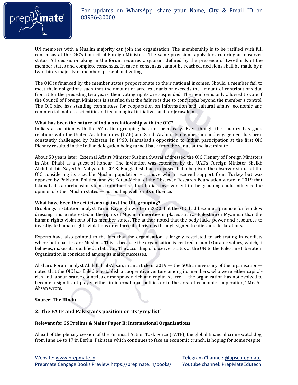

UN members with a Muslim majority can join the organisation. The membership is to be ratified with full consensus at the OIC's Council of Foreign Ministers. The same provisions apply for acquiring an observer status. All decision-making in the forum requires a quorum defined by the presence of two-thirds of the member states and complete consensus. In case a consensus cannot be reached, decisions shall be made by a two-thirds majority of members present and voting.

The OIC is financed by the member states proportionate to their national incomes. Should a member fail to meet their obligations such that the amount of arrears equals or exceeds the amount of contributions due from it for the preceding two years, their voting rights are suspended. The member is only allowed to vote if the Council of Foreign Ministers is satisfied that the failure is due to conditions beyond the member's control. The OIC also has standing committees for cooperation on information and cultural affairs, economic and commercial matters, scientific and technological initiatives and for Jerusalem.

#### **What has been the nature of India's relationship with the OIC?**

India's association with the 57-nation grouping has not been easy. Even though the country has good relations with the United Arab Emirates (UAE) and Saudi Arabia, its membership and engagement has been constantly challenged by Pakistan. In 1969, Islamabad's opposition to Indian participation at the first OIC Plenary resulted in the Indian delegation being turned back from the venue at the last minute.

About 50 years later, External Affairs Minister Sushma Swaraj addressed the OIC Plenary of Foreign Ministers in Abu Dhabi as a guest of honour. The invitation was extended by the UAE's Foreign Minister Sheikh Abdullah bin Zayed Al Nahyan. In 2018, Bangladesh had proposed India be given the observer status at the OIC considering its sizeable Muslim population – a move which received support from Turkey but was opposed by Pakistan. Political analyst Ketan Mehta of the Observer Research Foundation wrote in 2019 that Islamabad's apprehension stems from the fear that India's involvement in the grouping could influence the opinion of other Muslim states — not boding well for its influence.

#### **What have been the criticisms against the OIC grouping?**

Brookings Institution analyst Turan Kayaoglu wrote in 2020 that the OIC had become a premise for 'window dressing', more interested in the rights of Muslim minorities in places such as Palestine or Myanmar than the human rights violations of its member states. The author noted that the body lacks power and resources to investigate human rights violations or enforce its decisions through signed treaties and declarations.

Experts have also pointed to the fact that the organisation is largely restricted to arbitrating in conflicts where both parties are Muslims. This is because the organisation is centred around Quranic values, which, it believes, makes it a qualified arbitrator. The according of observer status at the UN to the Palestine Liberation Organisation is considered among its major successes.

Al Sharq Forum analyst Abdullah al-Ahsan, in an article in 2019 — the 50th anniversary of the organisation noted that the OIC has failed to establish a cooperative venture among its members, who were either capitalrich and labour-scarce countries or manpower-rich and capital scarce. "...the organization has not evolved to become a significant player either in international politics or in the area of economic cooperation," Mr. Al-Ahsan wrote.

#### **Source: The Hindu**

#### **2. The FATF and Pakistan's position on its 'grey list'**

#### **Relevant for GS Prelims & Mains Paper II; International Organisations**

Ahead of the plenary session of the Financial Action Task Force (FATF), the global financial crime watchdog, from June 14 to 17 in Berlin, Pakistan which continues to face an economic crunch, is hoping for some respite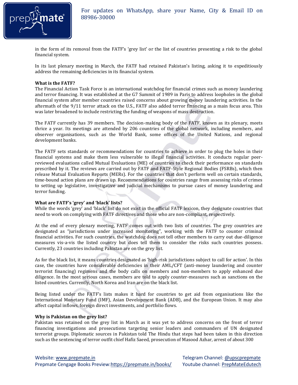

in the form of its removal from the FATF's 'grey list' or the list of countries presenting a risk to the global financial system.

In its last plenary meeting in March, the FATF had retained Pakistan's listing, asking it to expeditiously address the remaining deficiencies in its financial system.

#### **What is the FATF?**

The Financial Action Task Force is an international watchdog for financial crimes such as money laundering and terror financing. It was established at the G7 Summit of 1989 in Paris to address loopholes in the global financial system after member countries raised concerns about growing money laundering activities. In the aftermath of the 9/11 terror attack on the U.S., FATF also added terror financing as a main focus area. This was later broadened to include restricting the funding of weapons of mass destruction.

The FATF currently has 39 members. The decision-making body of the FATF, known as its plenary, meets thrice a year. Its meetings are attended by 206 countries of the global network, including members, and observer organisations, such as the World Bank, some offices of the United Nations, and regional development banks.

The FATF sets standards or recommendations for countries to achieve in order to plug the holes in their financial systems and make them less vulnerable to illegal financial activities. It conducts regular peerreviewed evaluations called Mutual Evaluations (ME) of countries to check their performance on standards prescribed by it. The reviews are carried out by FATF and FATF-Style Regional Bodies (FSRBs), which then release Mutual Evaluation Reports (MERs). For the countries that don't perform well on certain standards, time-bound action plans are drawn up. Recommendations for countries range from assessing risks of crimes to setting up legislative, investigative and judicial mechanisms to pursue cases of money laundering and terror funding.

#### **What are FATF's 'grey' and 'black' lists?**

While the words 'grey' and 'black' list do not exist in the official FATF lexicon, they designate countries that need to work on complying with FATF directives and those who are non-compliant, respectively.

At the end of every plenary meeting, FATF comes out with two lists of countries. The grey countries are designated as "jurisdictions under increased monitoring", working with the FATF to counter criminal financial activities. For such countries, the watchdog does not tell other members to carry out due-diligence measures vis-a-vis the listed country but does tell them to consider the risks such countries possess. Currently, 23 countries including Pakistan are on the grey list.

As for the black list, it means countries designated as 'high-risk jurisdictions subject to call for action'. In this case, the countries have considerable deficiencies in their AML/CFT (anti-money laundering and counter terrorist financing) regimens and the body calls on members and non-members to apply enhanced due diligence. In the most serious cases, members are told to apply counter-measures such as sanctions on the listed countries. Currently, North Korea and Iran are on the black list.

Being listed under the FATF's lists makes it hard for countries to get aid from organisations like the International Monetary Fund (IMF), Asian Development Bank (ADB), and the European Union. It may also affect capital inflows, foreign direct investments, and portfolio flows.

#### **Why is Pakistan on the grey list?**

Pakistan was retained on the grey list in March as it was yet to address concerns on the front of terror financing investigations and prosecutions targeting senior leaders and commanders of UN designated terrorist groups. Diplomatic sources in Pakistan told The Hindu that steps had been taken in this direction such as the sentencing of terror outfit chief Hafiz Saeed, prosecution of Masood Azhar, arrest of about 300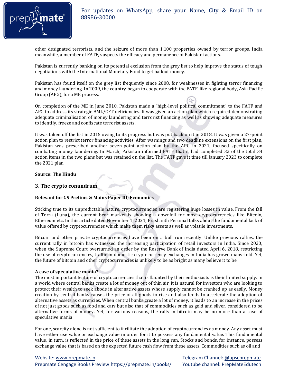

other designated terrorists, and the seizure of more than 1,100 properties owned by terror groups. India meanwhile, a member of FATF, suspects the efficacy and permanence of Pakistani actions.

Pakistan is currently banking on its potential exclusion from the grey list to help improve the status of tough negotiations with the International Monetary Fund to get bailout money.

Pakistan has found itself on the grey list frequently since 2008, for weaknesses in fighting terror financing and money laundering. In 2009, the country began to cooperate with the FATF-like regional body, Asia Pacific Group (APG), for a ME process.

On completion of the ME in June 2010, Pakistan made a "high-level political commitment" to the FATF and APG to address its strategic AML/CFT deficiencies. It was given an action plan which required demonstrating adequate criminalisation of money laundering and terrorist financing as well as showing adequate measures to identify, freeze and confiscate terrorist assets.

It was taken off the list in 2015 owing to its progress but was put back on it in 2018. It was given a 27-point action plan to restrict terror financing activities. After warnings and two deadline extensions on the first plan, Pakistan was prescribed another seven-point action plan by the APG in 2021, focused specifically on combating money laundering. In March, Pakistan informed FATF that it had completed 32 of the total 34 action items in the two plans but was retained on the list. The FATF gave it time till January 2023 to complete the 2021 plan.

#### **Source: The Hindu**

#### **3. The crypto conundrum**

#### **Relevant for GS Prelims & Mains Paper III; Economics**

Sticking true to its unpredictable nature, cryptocurrencies are registering huge losses in value. From the fall of Terra (Luna), the current bear market is showing a downfall for most cryptocurrencies like Bitcoin, Ethereum etc. In this article dated November 1, 2021, Prashanth Perumal talks about the fundamental lack of value offered by cryptocurrencies which make them risky assets as well as volatile investments.

Bitcoin and other private cryptocurrencies have been on a bull run recently. Unlike previous rallies, the current rally in bitcoin has witnessed the increasing participation of retail investors in India. Since 2020, when the Supreme Court overturned an order by the Reserve Bank of India dated April 6, 2018, restricting the use of cryptocurrencies, traffic in domestic cryptocurrency exchanges in India has grown many-fold. Yet, the future of bitcoin and other cryptocurrencies is unlikely to be as bright as many believe it to be.

#### **A case of speculative mania?**

The most important feature of cryptocurrencies that is flaunted by their enthusiasts is their limited supply. In a world where central banks create a lot of money out of thin air, it is natural for investors who are looking to protect their wealth to seek abode in alternative assets whose supply cannot be cranked up as easily. Money creation by central banks causes the price of all goods to rise and also tends to accelerate the adoption of alternative assets as currencies. When central banks create a lot of money, it leads to an increase in the prices of not just goods such as food and cars but also that of commodities such as gold and silver, considered to be alternative forms of money. Yet, for various reasons, the rally in bitcoin may be no more than a case of speculative mania.

For one, scarcity alone is not sufficient to facilitate the adoption of cryptocurrencies as money. Any asset must have either use value or exchange value in order for it to possess any fundamental value. This fundamental value, in turn, is reflected in the price of these assets in the long run. Stocks and bonds, for instance, possess exchange value that is based on the expected future cash flow from these assets. Commodities such as oil and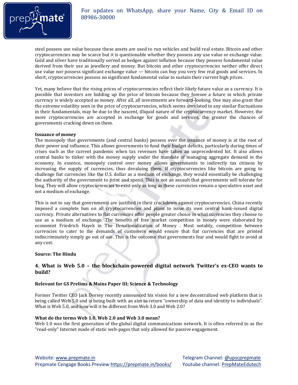

steel possess use value because these assets are used to run vehicles and build real estate. Bitcoin and other cryptocurrencies may be scarce but it is questionable whether they possess any use value or exchange value. Gold and silver have traditionally served as hedges against inflation because they possess fundamental value derived from their use as jewellery and money. But bitcoin and other cryptocurrencies neither offer direct use value nor possess significant exchange value — bitcoin can buy you very few real goods and services. In short, cryptocurrencies possess no significant fundamental value to sustain their current high prices.

Yet, many believe that the rising prices of cryptocurrencies reflect their likely future value as a currency. It is possible that investors are bidding up the price of bitcoin because they foresee a future in which private currency is widely accepted as money. After all, all investments are forward-looking. One may also grant that the extreme volatility seen in the price of cryptocurrencies, which seems unrelated to any similar fluctuations in their fundamentals, may be due to the nascent, illiquid nature of the cryptocurrency market. However, the more cryptocurrencies are accepted in exchange for goods and services, the greater the chances of governments cracking down on them.

#### **Issuance of money**

The monopoly that governments (and central banks) possess over the issuance of money is at the root of their power and influence. This allows governments to fund their budget deficits, particularly during times of crises such as the current pandemic when tax revenues have taken an unprecedented hit. It also allows central banks to tinker with the money supply under the mandate of managing aggregate demand in the economy. In essence, monopoly control over money allows governments to indirectly tax citizens by increasing the supply of currencies, thus devaluing them. If cryptocurrencies like bitcoin are going to challenge fiat currencies like the U.S. dollar as a medium of exchange, they would essentially be challenging the authority of the government to print and spend. This is not an assault that governments will tolerate for long. They will allow cryptocurrencies to exist only as long as these currencies remain a speculative asset and not a medium of exchange.

This is not to say that governments are justified in their crackdown against cryptocurrencies. China recently imposed a complete ban on all cryptocurrencies and plans to issue its own central bank-issued digital currency. Private alternatives to fiat currencies offer people greater choice in what currencies they choose to use as a medium of exchange. The benefits of free market competition in money were elaborated by economist Friedrich Hayek in The Denationalization of Money . Most notably, competition between currencies to cater to the demands of customers would ensure that fiat currencies that are printed indiscriminately simply go out of use. This is the outcome that governments fear and would fight to avoid at any cost.

#### **Source: The Hindu**

#### **4. What is Web 5.0 – the blockchain-powered digital network Twitter's ex-CEO wants to build?**

#### **Relevant for GS Prelims & Mains Paper III; Science & Technology**

Former Twitter CEO Jack Dorsey recently announced his vision for a new decentralized web platform that is being called Web 5.0 and is being built with an aim to return "ownership of data and identity to individuals". What is Web 5.0, and how will it be different from Web 3.0 and Web 2.0?

#### **What do the terms Web 1.0, Web 2.0 and Web 3.0 mean?**

Web 1.0 was the first generation of the global digital communications network. It is often referred to as the "read-only" Internet made of static web-pages that only allowed for passive engagement.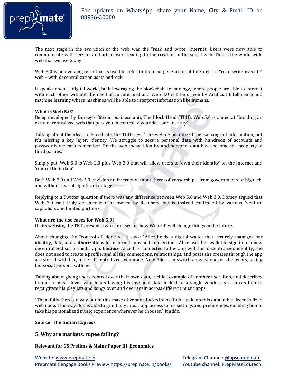

The next stage in the evolution of the web was the "read and write" Internet. Users were now able to communicate with servers and other users leading to the creation of the social web. This is the world wide web that we use today.

Web 3.0 is an evolving term that is used to refer to the next generation of Internet – a "read-write-execute" web – with decentralization as its bedrock.

It speaks about a digital world, built leveraging the blockchain technology, where people are able to interact with each other without the need of an intermediary. Web 3.0 will be driven by Artificial Intelligence and machine learning where machines will be able to interpret information like humans.

#### **What is Web 5.0?**

Being developed by Dorsey's Bitcoin business unit, The Block Head (TBH), Web 5.0 is aimed at "building an extra decentralized web that puts you in control of your data and identity".

Talking about the idea on its website, the TBH says: "The web democratized the exchange of information, but it's missing a key layer: identity. We struggle to secure personal data with hundreds of accounts and passwords we can't remember. On the web today, identity and personal data have become the property of third parties."

Simply put, Web 5.0 is Web 2.0 plus Web 3.0 that will allow users to 'own their identity' on the Internet and 'control their data'.

Both Web 3.0 and Web 5.0 envision an Internet without threat of censorship – from governments or big tech, and without fear of significant outages.

Replying to a Twitter question if there was any difference between Web 5.0 and Web 3.0, Dorsey argued that Web 3.0 isn't truly decentralized or owned by its users, but is instead controlled by various "venture capitalists and limited partners".

#### **What are the use cases for Web 5.0?**

On its website, the TBT presents two use cases for how Web 5.0 will change things in the future.

About changing the "control of identity", it says: "Alice holds a digital wallet that securely manages her identity, data, and authorizations for external apps and connections. Alice uses her wallet to sign in to a new decentralized social media app. Because Alice has connected to the app with her decentralized identity, she does not need to create a profile, and all the connections, relationships, and posts she creates through the app are stored with her, in her decentralized web node. Now Alice can switch apps whenever she wants, taking her social persona with her."

Talking about giving users control over their own data, it cities example of another user, Bob, and describes him as a music lover who hates having his personal data locked to a single vendor as it forces him to regurgitate his playlists and songs over and over again across different music apps.

"Thankfully there's a way out of this maze of vendor-locked silos: Bob can keep this data in his decentralized web node. This way Bob is able to grant any music app access to his settings and preferences, enabling him to take his personalized music experience wherever he chooses," it adds.

#### **Source: The Indian Express**

#### **5. Why are markets, rupee falling?**

#### **Relevant for GS Prelims & Mains Paper III; Economics**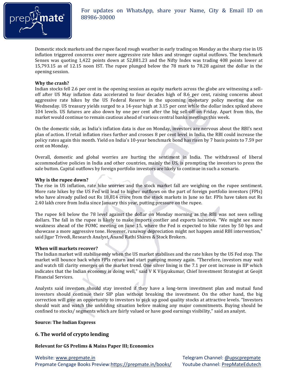

Domestic stock markets and the rupee faced rough weather in early trading on Monday as the sharp rise in US inflation triggered concerns over more aggressive rate hikes and stronger capital outflows. The benchmark Sensex was quoting 1,422 points down at 52,881.23 and the Nifty Index was trading 408 points lower at 15,793.15 as of 12.15 noon IST. The rupee plunged below the 78 mark to 78.28 against the dollar in the opening session.

#### **Why the crash?**

Indian stocks fell 2.6 per cent in the opening session as equity markets across the globe are witnessing a selloff after US May inflation data accelerated to four decades high of 8.6 per cent, raising concerns about aggressive rate hikes by the US Federal Reserve in the upcoming monetary policy meeting due on Wednesday. US treasury yields surged to a 14-year high at 3.15 per cent while the dollar index spiked above 104 levels. US futures are also down by one per cent after the big sell-off on Friday. Apart from this, the market would continue to remain cautious ahead of various central banks meetings this week.

On the domestic side, as India's inflation data is due on Monday, investors are nervous about the RBI's next plan of action. If retail inflation rises further and crosses 8 per cent level in India, the RBI could increase the policy rates again this month. Yield on India's 10-year benchmark bond has risen by 7 basis points to 7.59 per cent on Monday.

Overall, domestic and global worries are hurting the sentiment in India. The withdrawal of liberal accommodative policies in India and other countries, mainly the US, is prompting the investors to press the sale button. Capital outflows by foreign portfolio investors are likely to continue in such a scenario.

#### **Why is the rupee down?**

The rise in US inflation, rate hike worries and the stock market fall are weighing on the rupee sentiment. More rate hikes by the US Fed will lead to higher outflows on the part of foreign portfolio investors (FPIs) who have already pulled out Rs 18,814 crore from the stock markets in June so far. FPIs have taken out Rs 2.40 lakh crore from India since January this year, putting pressure on the rupee.

The rupee fell below the 78 level against the dollar on Monday morning as the RBI was not seen selling dollars. The fall in the rupee is likely to make imports costlier and exports lucrative. "We might see more weakness ahead of the FOMC meeting on June 15, where the Fed is expected to hike rates by 50 bps and showcase a more aggressive tone. However, runaway depreciation might not happen amid RBI intervention," said Jigar Trivedi, Research Analyst, Anand Rathi Shares & Stock Brokers.

#### **When will markets recover?**

The Indian market will stabilise only when the US market stabilises and the rate hikes by the US Fed stop. The market will bounce back when FPIs return and start pumping money again. "Therefore, investors may wait and watch till clarity emerges on the market trend. One silver lining is the 7.1 per cent increase in IIP which indicates that the Indian economy is doing well," said V K Vijayakumar, Chief Investment Strategist at Geojit Financial Services.

Analysts said investors should stay invested if they have a long-term investment plan and mutual fund investors should continue their SIP plan without breaking the investment. On the other hand, the big correction will give an opportunity to investors to pick up good quality stocks at attractive levels. "Investors should wait and watch the unfolding situation before making any major commitments. Buying should be confined to stocks/ segments which are fairly valued or have good earnings visibility," said an analyst.

#### **Source: The Indian Express**

#### **6. The world of crypto lending**

#### **Relevant for GS Prelims & Mains Paper III; Economics**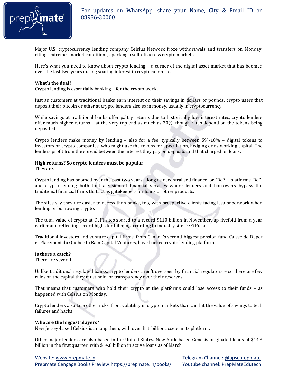

Major U.S. cryptocurrency lending company Celsius Network froze withdrawals and transfers on Monday, citing "extreme" market conditions, sparking a sell-off across crypto markets.

Here's what you need to know about crypto lending – a corner of the digital asset market that has boomed over the last two years during soaring interest in cryptocurrencies.

#### **What's the deal?**

Crypto lending is essentially banking – for the crypto world.

Just as customers at traditional banks earn interest on their savings in dollars or pounds, crypto users that deposit their bitcoin or ether at crypto lenders also earn money, usually in cryptocurrency.

While savings at traditional banks offer paltry returns due to historically low interest rates, crypto lenders offer much higher returns – at the very top end as much as 20%, though rates depend on the tokens being deposited.

Crypto lenders make money by lending – also for a fee, typically between 5%-10% – digital tokens to investors or crypto companies, who might use the tokens for speculation, hedging or as working capital. The lenders profit from the spread between the interest they pay on deposits and that charged on loans.

#### **High returns? So crypto lenders must be popular**

They are.

Crypto lending has boomed over the past two years, along as decentralised finance, or "DeFi," platforms. DeFi and crypto lending both tout a vision of financial services where lenders and borrowers bypass the traditional financial firms that act as gatekeepers for loans or other products.

The sites say they are easier to access than banks, too, with prospective clients facing less paperwork when lending or borrowing crypto.

The total value of crypto at DeFi sites soared to a record \$110 billion in November, up fivefold from a year earlier and reflecting record highs for bitcoin, according to industry site DeFi Pulse.

Traditional investors and venture capital firms, from Canada's second-biggest pension fund Caisse de Depot et Placement du Quebec to Bain Capital Ventures, have backed crypto lending platforms.

#### **Is there a catch?**

There are several.

Unlike traditional regulated banks, crypto lenders aren't overseen by financial regulators – so there are few rules on the capital they must hold, or transparency over their reserves.

That means that customers who hold their crypto at the platforms could lose access to their funds – as happened with Celsius on Monday.

Crypto lenders also face other risks, from volatility in crypto markets than can hit the value of savings to tech failures and hacks.

#### **Who are the biggest players?**

New Jersey-based Celsius is among them, with over \$11 billion assets in its platform.

Other major lenders are also based in the United States. New York-based Genesis originated loans of \$44.3 billion in the first quarter, with \$14.6 billion in active loans as of March.

Prepmate Cengage Books Preview[:https://prepmate.in/books/](https://prepmate.in/books/) Youtube channel[: PrepMateEdutech](https://www.youtube.com/channel/UCXy_z-FjcG4CcCTYpn2DGhA) 

Website[: www.prepmate.in](http://www.prepmate.in/)  $\blacksquare$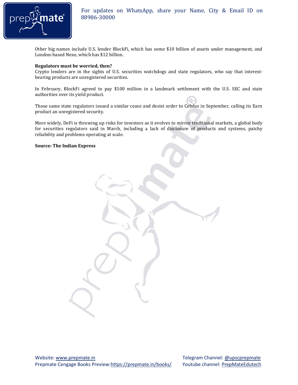

Other big names include U.S. lender BlockFi, which has some \$10 billion of assets under management, and London-based Nexo, which has \$12 billion.

#### **Regulators must be worried, then?**

Crypto lenders are in the sights of U.S. securities watchdogs and state regulators, who say that interestbearing products are unregistered securities.

In February, BlockFi agreed to pay \$100 million in a landmark settlement with the U.S. SEC and state authorities over its yield product.

Those same state regulators issued a similar cease and desist order to Celsius in September, calling its Earn product an unregistered security.

More widely, DeFi is throwing up risks for investors as it evolves to mirror traditional markets, a global body for securities regulators said in March, including a lack of disclosure of products and systems, patchy reliability and problems operating at scale.

#### **Source: The Indian Express**